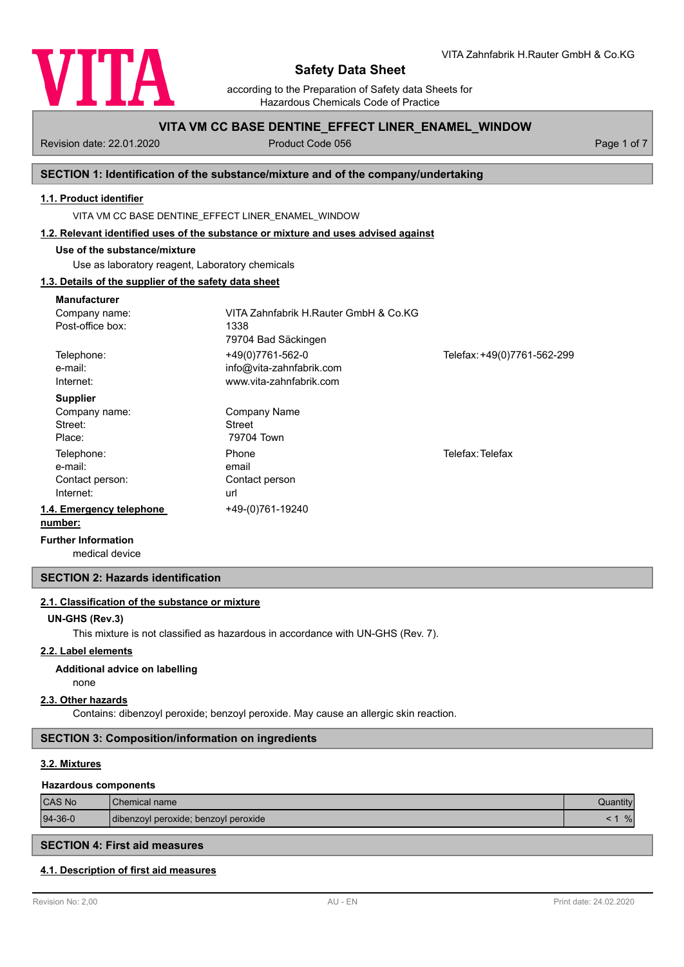

according to the Preparation of Safety data Sheets for Hazardous Chemicals Code of Practice

## **VITA VM CC BASE DENTINE\_EFFECT LINER\_ENAMEL\_WINDOW**

Revision date: 22.01.2020 Product Code 056 Product Code 056 Page 1 of 7

## **SECTION 1: Identification of the substance/mixture and of the company/undertaking**

## **1.1. Product identifier**

VITA VM CC BASE DENTINE\_EFFECT LINER\_ENAMEL\_WINDOW

#### **1.2. Relevant identified uses of the substance or mixture and uses advised against**

## **Use of the substance/mixture**

Use as laboratory reagent, Laboratory chemicals

## **1.3. Details of the supplier of the safety data sheet**

| <b>Manufacturer</b>        |                                       |                             |
|----------------------------|---------------------------------------|-----------------------------|
| Company name:              | VITA Zahnfabrik H.Rauter GmbH & Co.KG |                             |
| Post-office box:           | 1338                                  |                             |
|                            | 79704 Bad Säckingen                   |                             |
| Telephone:                 | +49(0)7761-562-0                      | Telefax: +49(0)7761-562-299 |
| e-mail:                    | info@vita-zahnfabrik.com              |                             |
| Internet:                  | www.vita-zahnfabrik.com               |                             |
| <b>Supplier</b>            |                                       |                             |
| Company name:              | Company Name                          |                             |
| Street:                    | <b>Street</b>                         |                             |
| Place:                     | 79704 Town                            |                             |
| Telephone:                 | Phone                                 | Telefax: Telefax            |
| e-mail:                    | email                                 |                             |
| Contact person:            | Contact person                        |                             |
| Internet:                  | url                                   |                             |
| 1.4. Emergency telephone   | +49-(0)761-19240                      |                             |
| number:                    |                                       |                             |
| <b>Further Information</b> |                                       |                             |

medical device

## **SECTION 2: Hazards identification**

## **2.1. Classification of the substance or mixture**

#### **UN-GHS (Rev.3)**

This mixture is not classified as hazardous in accordance with UN-GHS (Rev. 7).

## **2.2. Label elements**

#### **Additional advice on labelling**

## none **2.3. Other hazards**

Contains: dibenzoyl peroxide; benzoyl peroxide. May cause an allergic skin reaction.

## **SECTION 3: Composition/information on ingredients**

## **3.2. Mixtures**

#### **Hazardous components**

| <b>CAS No</b> | <b>Chemical name</b>                 |   |
|---------------|--------------------------------------|---|
| $94-36-0$     | dibenzoyl peroxide; benzoyl peroxide | % |

# **SECTION 4: First aid measures**

## **4.1. Description of first aid measures**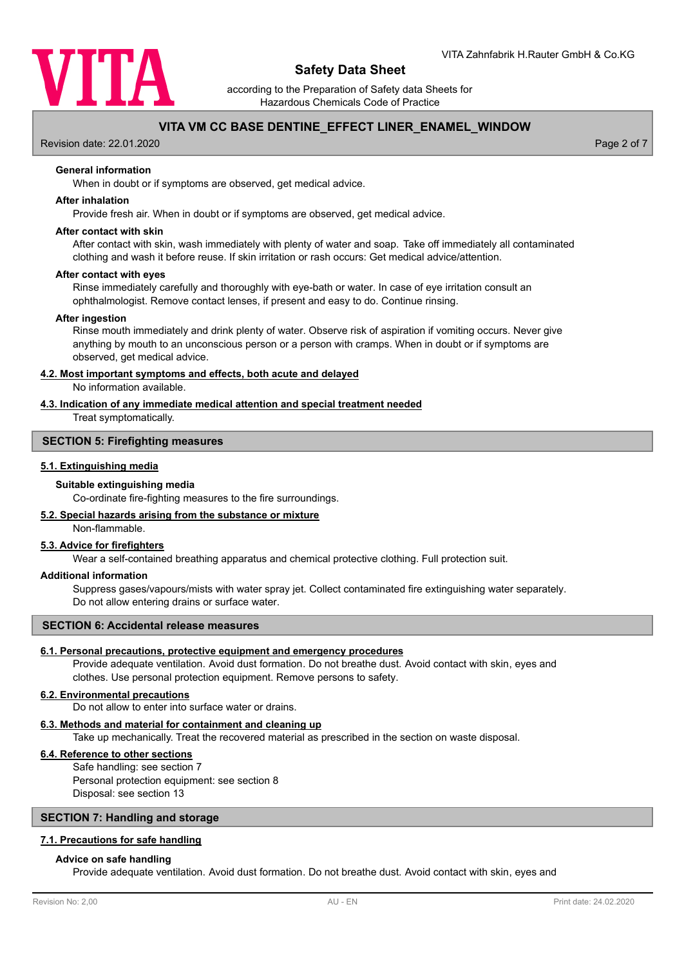

according to the Preparation of Safety data Sheets for Hazardous Chemicals Code of Practice

## **VITA VM CC BASE DENTINE\_EFFECT LINER\_ENAMEL\_WINDOW**

Revision date: 22.01.2020 **Page 2 of 7** No. 2020 **Page 2 of 7** No. 2020 **Page 2 of 7** No. 2020 **Page 2 of 7** No. 2020

## **General information**

When in doubt or if symptoms are observed, get medical advice.

#### **After inhalation**

Provide fresh air. When in doubt or if symptoms are observed, get medical advice.

## **After contact with skin**

After contact with skin, wash immediately with plenty of water and soap. Take off immediately all contaminated clothing and wash it before reuse. If skin irritation or rash occurs: Get medical advice/attention.

#### **After contact with eyes**

Rinse immediately carefully and thoroughly with eye-bath or water. In case of eye irritation consult an ophthalmologist. Remove contact lenses, if present and easy to do. Continue rinsing.

#### **After ingestion**

Rinse mouth immediately and drink plenty of water. Observe risk of aspiration if vomiting occurs. Never give anything by mouth to an unconscious person or a person with cramps. When in doubt or if symptoms are observed, get medical advice.

#### **4.2. Most important symptoms and effects, both acute and delayed**

No information available.

## **4.3. Indication of any immediate medical attention and special treatment needed**

Treat symptomatically.

## **SECTION 5: Firefighting measures**

## **5.1. Extinguishing media**

#### **Suitable extinguishing media**

Co-ordinate fire-fighting measures to the fire surroundings.

## **5.2. Special hazards arising from the substance or mixture**

Non-flammable.

## **5.3. Advice for firefighters**

Wear a self-contained breathing apparatus and chemical protective clothing. Full protection suit.

## **Additional information**

Suppress gases/vapours/mists with water spray jet. Collect contaminated fire extinguishing water separately. Do not allow entering drains or surface water.

## **SECTION 6: Accidental release measures**

## **6.1. Personal precautions, protective equipment and emergency procedures**

Provide adequate ventilation. Avoid dust formation. Do not breathe dust. Avoid contact with skin, eyes and clothes. Use personal protection equipment. Remove persons to safety.

#### **6.2. Environmental precautions**

Do not allow to enter into surface water or drains.

## **6.3. Methods and material for containment and cleaning up**

Take up mechanically. Treat the recovered material as prescribed in the section on waste disposal.

## **6.4. Reference to other sections**

Safe handling: see section 7 Personal protection equipment: see section 8 Disposal: see section 13

## **SECTION 7: Handling and storage**

#### **7.1. Precautions for safe handling**

#### **Advice on safe handling**

Provide adequate ventilation. Avoid dust formation. Do not breathe dust. Avoid contact with skin, eyes and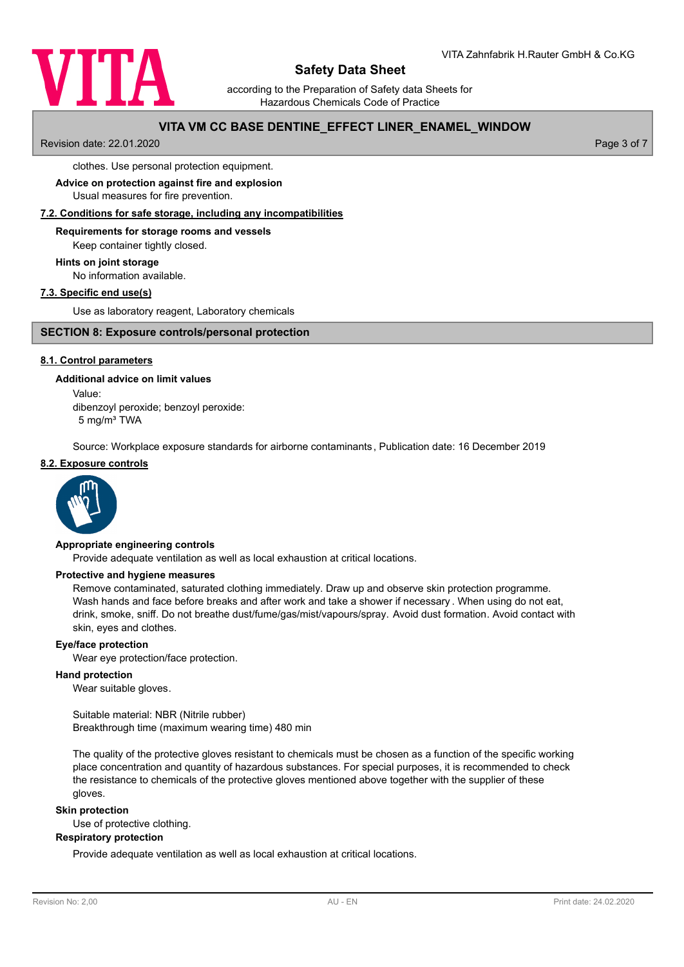

according to the Preparation of Safety data Sheets for Hazardous Chemicals Code of Practice

## **VITA VM CC BASE DENTINE\_EFFECT LINER\_ENAMEL\_WINDOW**

Revision date: 22.01.2020 **Page 3 of 7** and 7 and 7 and 7 and 7 and 7 and 7 and 7 and 7 and 7 and 7 and 7 and 7 and 7 and 7 and 7 and 7 and 7 and 7 and 7 and 7 and 7 and 7 and 7 and 7 and 7 and 7 and 7 and 7 and 7 and 7 an

clothes. Use personal protection equipment.

# **Advice on protection against fire and explosion**

Usual measures for fire prevention.

## **7.2. Conditions for safe storage, including any incompatibilities**

# **Requirements for storage rooms and vessels**

Keep container tightly closed.

# **Hints on joint storage**

No information available.

## **7.3. Specific end use(s)**

Use as laboratory reagent, Laboratory chemicals

## **SECTION 8: Exposure controls/personal protection**

## **8.1. Control parameters**

# **Additional advice on limit values**

Value: dibenzoyl peroxide; benzoyl peroxide:

5 mg/m³ TWA

Source: Workplace exposure standards for airborne contaminants, Publication date: 16 December 2019

#### **8.2. Exposure controls**



## **Appropriate engineering controls**

Provide adequate ventilation as well as local exhaustion at critical locations.

## **Protective and hygiene measures**

Remove contaminated, saturated clothing immediately. Draw up and observe skin protection programme. Wash hands and face before breaks and after work and take a shower if necessary . When using do not eat, drink, smoke, sniff. Do not breathe dust/fume/gas/mist/vapours/spray. Avoid dust formation. Avoid contact with skin, eyes and clothes.

## **Eye/face protection**

Wear eye protection/face protection.

## **Hand protection**

Wear suitable gloves.

Suitable material: NBR (Nitrile rubber) Breakthrough time (maximum wearing time) 480 min

The quality of the protective gloves resistant to chemicals must be chosen as a function of the specific working place concentration and quantity of hazardous substances. For special purposes, it is recommended to check the resistance to chemicals of the protective gloves mentioned above together with the supplier of these gloves.

#### **Skin protection**

Use of protective clothing.

## **Respiratory protection**

Provide adequate ventilation as well as local exhaustion at critical locations.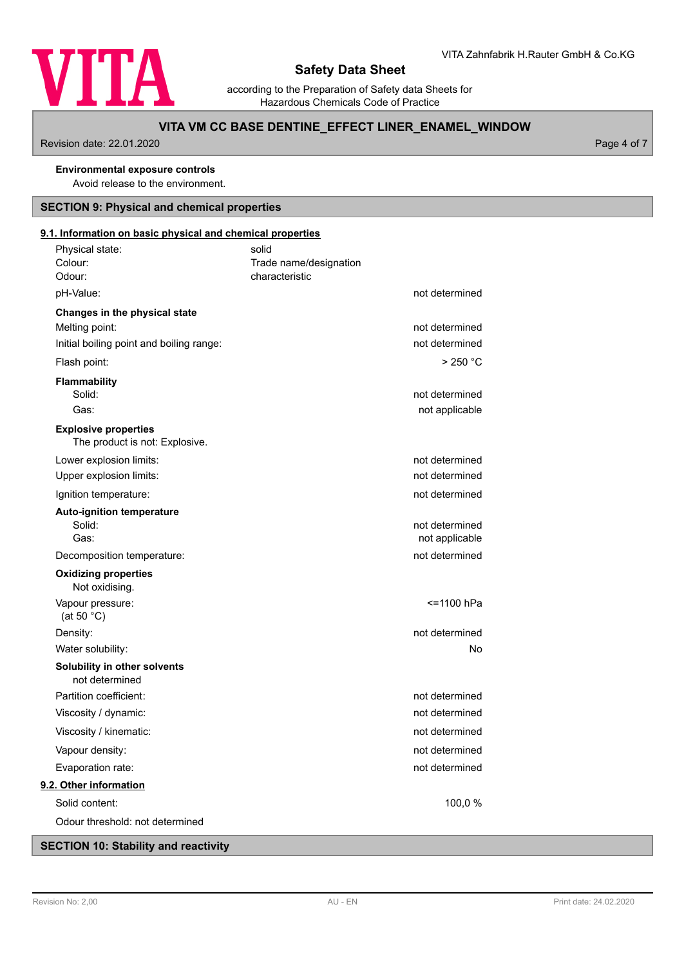

according to the Preparation of Safety data Sheets for Hazardous Chemicals Code of Practice

## **VITA VM CC BASE DENTINE\_EFFECT LINER\_ENAMEL\_WINDOW**

Revision date: 22.01.2020 **Page 4 of 7** 

# **Environmental exposure controls**

Avoid release to the environment.

# **SECTION 9: Physical and chemical properties**

## Physical state: solid **9.1. Information on basic physical and chemical properties**

| Colour:<br>Odour:                                             | Trade name/designation<br>characteristic |                                  |
|---------------------------------------------------------------|------------------------------------------|----------------------------------|
| pH-Value:                                                     |                                          | not determined                   |
| Changes in the physical state                                 |                                          |                                  |
| Melting point:                                                |                                          | not determined                   |
| Initial boiling point and boiling range:                      |                                          | not determined                   |
| Flash point:                                                  |                                          | >250 °C                          |
| Flammability                                                  |                                          |                                  |
| Solid:                                                        |                                          | not determined                   |
| Gas:                                                          |                                          | not applicable                   |
| <b>Explosive properties</b><br>The product is not: Explosive. |                                          |                                  |
| Lower explosion limits:                                       |                                          | not determined                   |
| Upper explosion limits:                                       |                                          | not determined                   |
| Ignition temperature:                                         |                                          | not determined                   |
| <b>Auto-ignition temperature</b><br>Solid:<br>Gas:            |                                          | not determined<br>not applicable |
| Decomposition temperature:                                    |                                          | not determined                   |
| <b>Oxidizing properties</b><br>Not oxidising.                 |                                          |                                  |
| Vapour pressure:<br>(at 50 $°C$ )                             |                                          | <=1100 hPa                       |
| Density:                                                      |                                          | not determined                   |
| Water solubility:                                             |                                          | No                               |
| Solubility in other solvents<br>not determined                |                                          |                                  |
| Partition coefficient:                                        |                                          | not determined                   |
| Viscosity / dynamic:                                          |                                          | not determined                   |
| Viscosity / kinematic:                                        |                                          | not determined                   |
| Vapour density:                                               |                                          | not determined                   |
| Evaporation rate:                                             |                                          | not determined                   |
| 9.2. Other information                                        |                                          |                                  |
| Solid content:                                                |                                          | 100,0 %                          |
| Odour threshold: not determined                               |                                          |                                  |

# **SECTION 10: Stability and reactivity**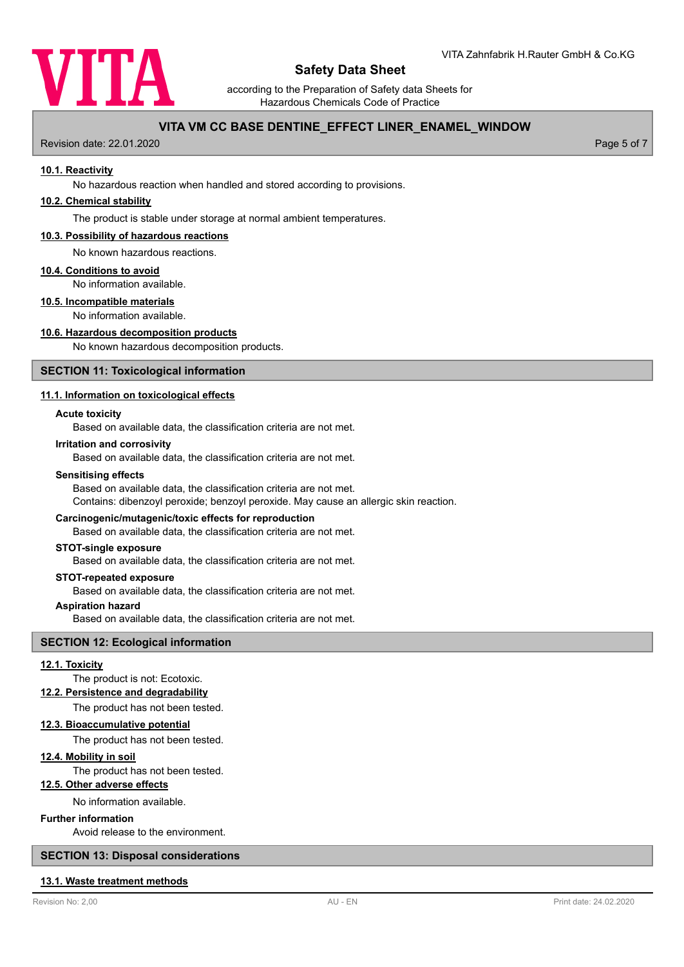

according to the Preparation of Safety data Sheets for Hazardous Chemicals Code of Practice

## **VITA VM CC BASE DENTINE\_EFFECT LINER\_ENAMEL\_WINDOW**

Revision date: 22.01.2020 Page 5 of 7

#### **10.1. Reactivity**

No hazardous reaction when handled and stored according to provisions.

#### **10.2. Chemical stability**

The product is stable under storage at normal ambient temperatures.

#### **10.3. Possibility of hazardous reactions**

No known hazardous reactions.

#### **10.4. Conditions to avoid**

No information available.

#### **10.5. Incompatible materials**

No information available.

#### **10.6. Hazardous decomposition products**

No known hazardous decomposition products.

## **SECTION 11: Toxicological information**

#### **11.1. Information on toxicological effects**

#### **Acute toxicity**

Based on available data, the classification criteria are not met.

#### **Irritation and corrosivity**

Based on available data, the classification criteria are not met.

#### **Sensitising effects**

Based on available data, the classification criteria are not met.

Contains: dibenzoyl peroxide; benzoyl peroxide. May cause an allergic skin reaction.

## **Carcinogenic/mutagenic/toxic effects for reproduction**

Based on available data, the classification criteria are not met.

#### **STOT-single exposure**

Based on available data, the classification criteria are not met.

#### **STOT-repeated exposure**

Based on available data, the classification criteria are not met.

## **Aspiration hazard**

Based on available data, the classification criteria are not met.

## **SECTION 12: Ecological information**

## **12.1. Toxicity**

The product is not: Ecotoxic.

## **12.2. Persistence and degradability**

The product has not been tested.

## **12.3. Bioaccumulative potential**

The product has not been tested.

## **12.4. Mobility in soil**

The product has not been tested.

#### **12.5. Other adverse effects**

No information available.

#### **Further information**

Avoid release to the environment.

## **SECTION 13: Disposal considerations**

#### **13.1. Waste treatment methods**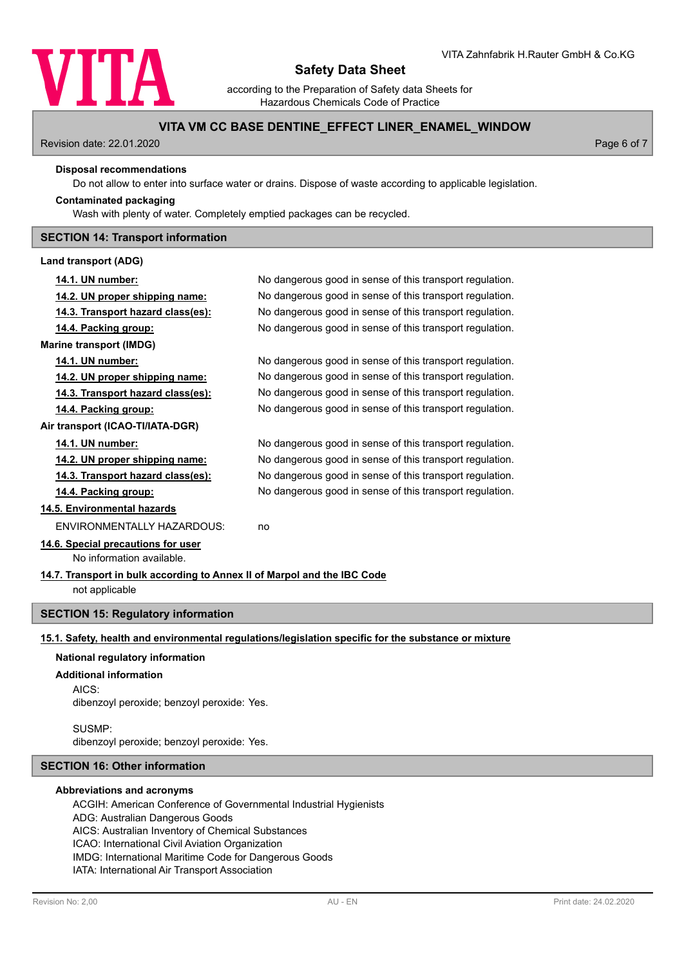

according to the Preparation of Safety data Sheets for Hazardous Chemicals Code of Practice

## **VITA VM CC BASE DENTINE\_EFFECT LINER\_ENAMEL\_WINDOW**

Revision date: 22.01.2020 Page 6 of 7

#### **Disposal recommendations**

Do not allow to enter into surface water or drains. Dispose of waste according to applicable legislation.

## **Contaminated packaging**

Wash with plenty of water. Completely emptied packages can be recycled.

## **SECTION 14: Transport information**

#### **Land transport (ADG)**

| 14.1. UN number:                                                                           | No dangerous good in sense of this transport regulation. |  |  |
|--------------------------------------------------------------------------------------------|----------------------------------------------------------|--|--|
| 14.2. UN proper shipping name:                                                             | No dangerous good in sense of this transport regulation. |  |  |
| <u>14.3. Transport hazard class(es):</u>                                                   | No dangerous good in sense of this transport regulation. |  |  |
| 14.4. Packing group:                                                                       | No dangerous good in sense of this transport regulation. |  |  |
| <b>Marine transport (IMDG)</b>                                                             |                                                          |  |  |
| <u>14.1. UN number:</u>                                                                    | No dangerous good in sense of this transport regulation. |  |  |
| <u>14.2. UN proper shipping name:</u>                                                      | No dangerous good in sense of this transport regulation. |  |  |
| <u>14.3. Transport hazard class(es):</u>                                                   | No dangerous good in sense of this transport regulation. |  |  |
| 14.4. Packing group:                                                                       | No dangerous good in sense of this transport regulation. |  |  |
| Air transport (ICAO-TI/IATA-DGR)                                                           |                                                          |  |  |
| 14.1. UN number:                                                                           | No dangerous good in sense of this transport regulation. |  |  |
| <u>14.2. UN proper shipping name:</u>                                                      | No dangerous good in sense of this transport regulation. |  |  |
| 14.3. Transport hazard class(es):                                                          | No dangerous good in sense of this transport regulation. |  |  |
| 14.4. Packing group:                                                                       | No dangerous good in sense of this transport regulation. |  |  |
| 14.5. Environmental hazards                                                                |                                                          |  |  |
| ENVIRONMENTALLY HAZARDOUS:                                                                 | no                                                       |  |  |
| 14.6. Special precautions for user                                                         |                                                          |  |  |
| No information available.                                                                  |                                                          |  |  |
| 14.7. Transport in bulk according to Annex II of Marpol and the IBC Code<br>not applicable |                                                          |  |  |
| <b>SECTION 15: Regulatory information</b>                                                  |                                                          |  |  |

# **15.1. Safety, health and environmental regulations/legislation specific for the substance or mixture**

## **National regulatory information**

#### **Additional information**

AICS:

dibenzoyl peroxide; benzoyl peroxide: Yes.

SUSMP: dibenzoyl peroxide; benzoyl peroxide: Yes.

## **SECTION 16: Other information**

## **Abbreviations and acronyms**

ACGIH: American Conference of Governmental Industrial Hygienists ADG: Australian Dangerous Goods AICS: Australian Inventory of Chemical Substances ICAO: International Civil Aviation Organization IMDG: International Maritime Code for Dangerous Goods IATA: International Air Transport Association